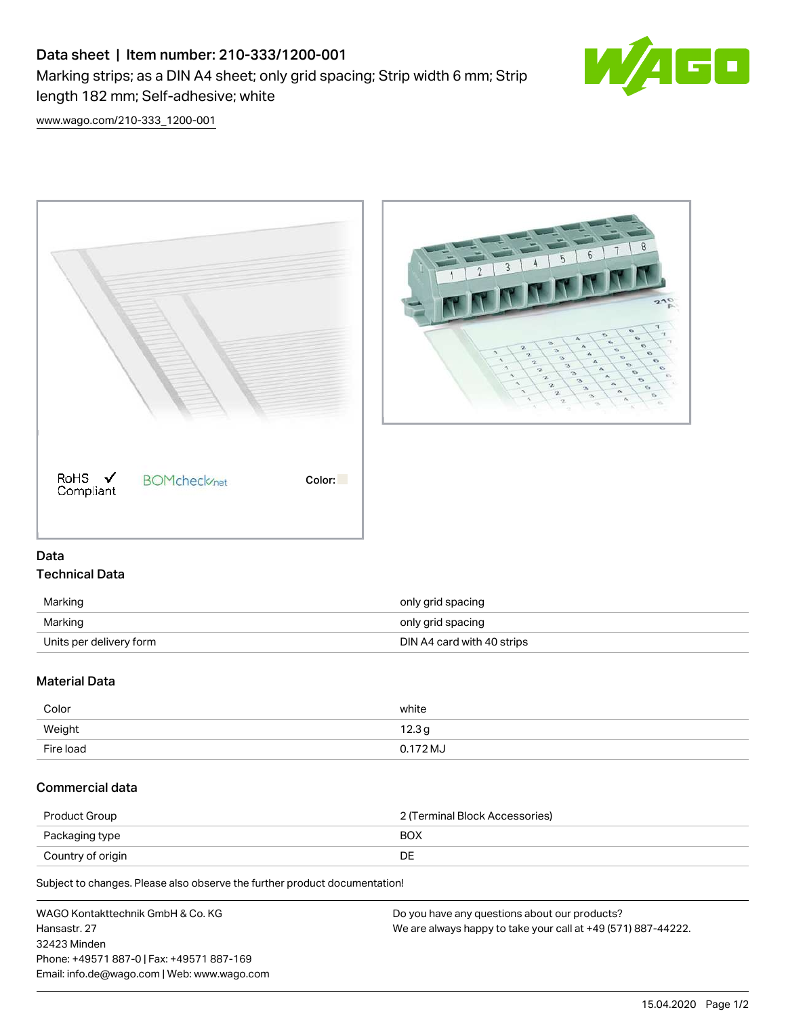## Data sheet | Item number: 210-333/1200-001 Marking strips; as a DIN A4 sheet; only grid spacing; Strip width 6 mm; Strip length 182 mm; Self-adhesive; white



[www.wago.com/210-333\\_1200-001](http://www.wago.com/210-333_1200-001)





## Data Technical Data

| Marking                 | only grid spacing          |
|-------------------------|----------------------------|
| Marking                 | only grid spacing          |
| Units per delivery form | DIN A4 card with 40 strips |

## Material Data

| Color     | white      |
|-----------|------------|
| Weight    | 12.3g      |
| Fire load | $0.172$ MJ |

## Commercial data

| Product Group     | 2 (Terminal Block Accessories) |
|-------------------|--------------------------------|
| Packaging type    | <b>BOX</b>                     |
| Country of origin |                                |

Subject to changes. Please also observe the further product documentation!

| WAGO Kontakttechnik GmbH & Co. KG           | Do you have any questions about our products?                 |
|---------------------------------------------|---------------------------------------------------------------|
| Hansastr, 27                                | We are always happy to take your call at +49 (571) 887-44222. |
| 32423 Minden                                |                                                               |
| Phone: +49571 887-01 Fax: +49571 887-169    |                                                               |
| Email: info.de@wago.com   Web: www.wago.com |                                                               |